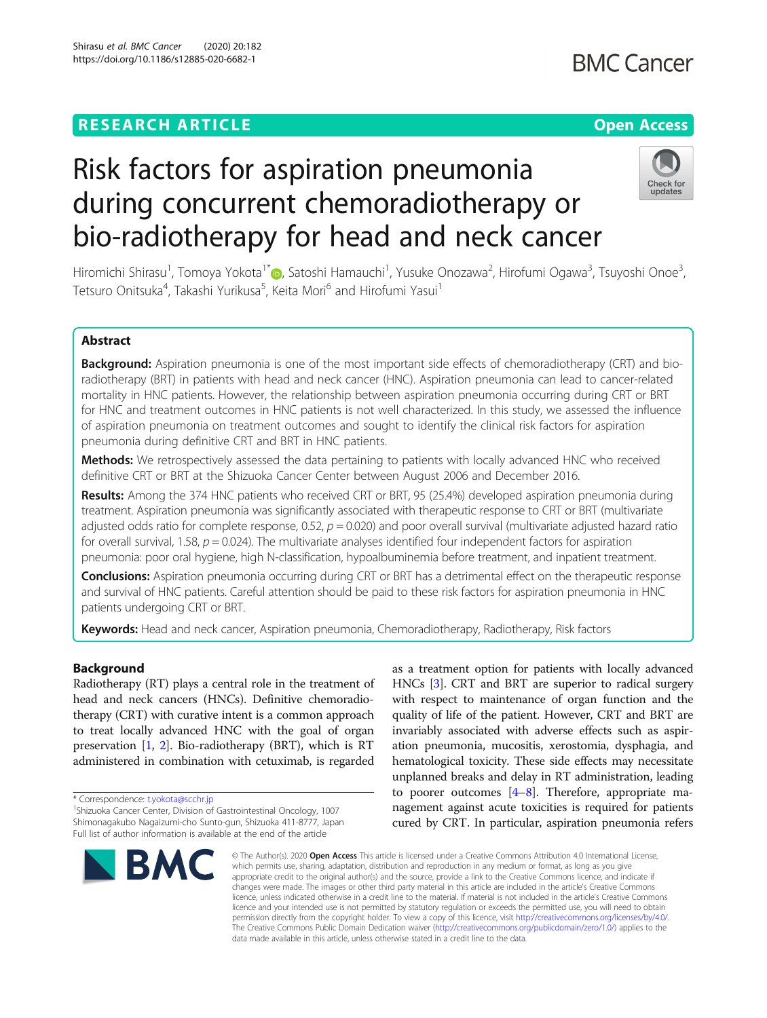Shirasu et al. BMC Cancer (2020) 20:182

# https://doi.org/10.1186/s12885-020-6682-1

Risk factors for aspiration pneumonia

## **BMC Cancer**

## Check for updates

# during concurrent chemoradiotherapy or bio-radiotherapy for head and neck cancer

Hiromichi Shirasu<sup>1</sup>, Tomoya Yokota<sup>1[\\*](http://orcid.org/0000-0001-7327-7949)</sup>@, Satoshi Hamauchi<sup>1</sup>, Yusuke Onozawa<sup>2</sup>, Hirofumi Ogawa<sup>3</sup>, Tsuyoshi Onoe<sup>3</sup> .<br>. Tetsuro Onitsuka<sup>4</sup>, Takashi Yurikusa<sup>5</sup>, Keita Mori<sup>6</sup> and Hirofumi Yasui<sup>1</sup>

### Abstract

Background: Aspiration pneumonia is one of the most important side effects of chemoradiotherapy (CRT) and bioradiotherapy (BRT) in patients with head and neck cancer (HNC). Aspiration pneumonia can lead to cancer-related mortality in HNC patients. However, the relationship between aspiration pneumonia occurring during CRT or BRT for HNC and treatment outcomes in HNC patients is not well characterized. In this study, we assessed the influence of aspiration pneumonia on treatment outcomes and sought to identify the clinical risk factors for aspiration pneumonia during definitive CRT and BRT in HNC patients.

**Methods:** We retrospectively assessed the data pertaining to patients with locally advanced HNC who received definitive CRT or BRT at the Shizuoka Cancer Center between August 2006 and December 2016.

Results: Among the 374 HNC patients who received CRT or BRT, 95 (25.4%) developed aspiration pneumonia during treatment. Aspiration pneumonia was significantly associated with therapeutic response to CRT or BRT (multivariate adjusted odds ratio for complete response,  $0.52$ ,  $p = 0.020$ ) and poor overall survival (multivariate adjusted hazard ratio for overall survival, 1.58,  $p = 0.024$ ). The multivariate analyses identified four independent factors for aspiration pneumonia: poor oral hygiene, high N-classification, hypoalbuminemia before treatment, and inpatient treatment.

Conclusions: Aspiration pneumonia occurring during CRT or BRT has a detrimental effect on the therapeutic response and survival of HNC patients. Careful attention should be paid to these risk factors for aspiration pneumonia in HNC patients undergoing CRT or BRT.

Keywords: Head and neck cancer, Aspiration pneumonia, Chemoradiotherapy, Radiotherapy, Risk factors

### Background

Radiotherapy (RT) plays a central role in the treatment of head and neck cancers (HNCs). Definitive chemoradiotherapy (CRT) with curative intent is a common approach to treat locally advanced HNC with the goal of organ preservation [\[1,](#page-8-0) [2\]](#page-8-0). Bio-radiotherapy (BRT), which is RT administered in combination with cetuximab, is regarded

<sup>&</sup>lt;sup>1</sup>Shizuoka Cancer Center, Division of Gastrointestinal Oncology, 1007 Shimonagakubo Nagaizumi-cho Sunto-gun, Shizuoka 411-8777, Japan Full list of author information is available at the end of the article



as a treatment option for patients with locally advanced HNCs [[3\]](#page-8-0). CRT and BRT are superior to radical surgery with respect to maintenance of organ function and the quality of life of the patient. However, CRT and BRT are invariably associated with adverse effects such as aspiration pneumonia, mucositis, xerostomia, dysphagia, and hematological toxicity. These side effects may necessitate unplanned breaks and delay in RT administration, leading to poorer outcomes  $[4-8]$  $[4-8]$  $[4-8]$  $[4-8]$  $[4-8]$ . Therefore, appropriate management against acute toxicities is required for patients cured by CRT. In particular, aspiration pneumonia refers

© The Author(s), 2020 **Open Access** This article is licensed under a Creative Commons Attribution 4.0 International License, which permits use, sharing, adaptation, distribution and reproduction in any medium or format, as long as you give appropriate credit to the original author(s) and the source, provide a link to the Creative Commons licence, and indicate if changes were made. The images or other third party material in this article are included in the article's Creative Commons licence, unless indicated otherwise in a credit line to the material. If material is not included in the article's Creative Commons licence and your intended use is not permitted by statutory regulation or exceeds the permitted use, you will need to obtain permission directly from the copyright holder. To view a copy of this licence, visit [http://creativecommons.org/licenses/by/4.0/.](http://creativecommons.org/licenses/by/4.0/) The Creative Commons Public Domain Dedication waiver [\(http://creativecommons.org/publicdomain/zero/1.0/](http://creativecommons.org/publicdomain/zero/1.0/)) applies to the data made available in this article, unless otherwise stated in a credit line to the data.

<sup>\*</sup> Correspondence: [t.yokota@scchr.jp](mailto:t.yokota@scchr.jp) <sup>1</sup>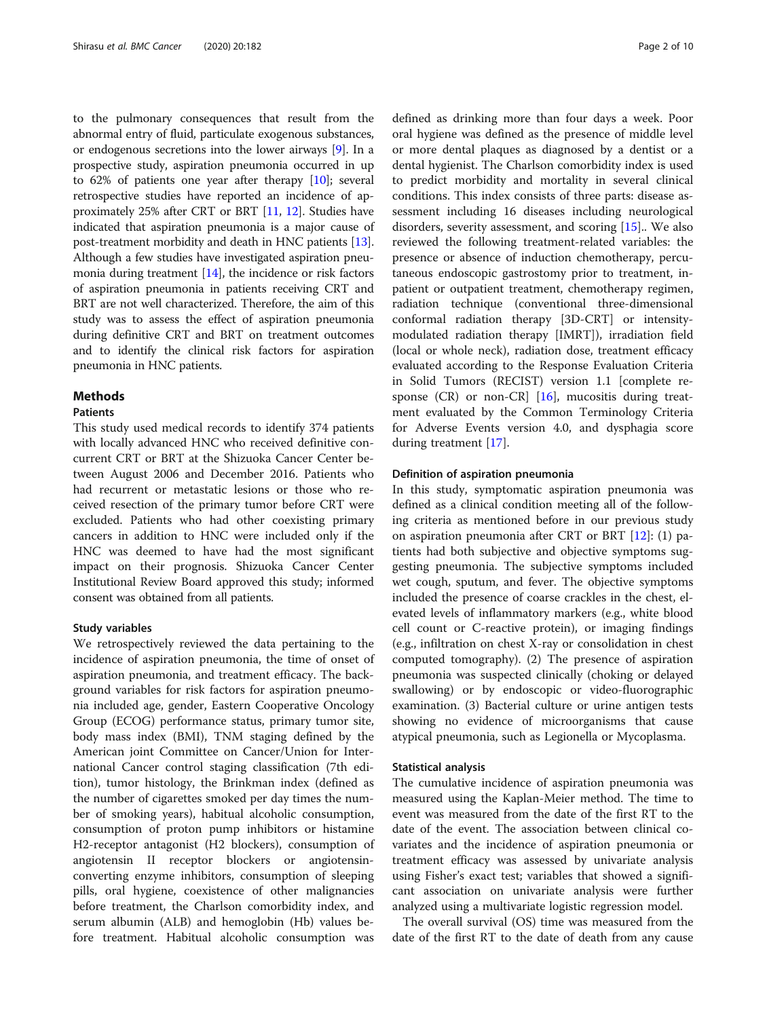to the pulmonary consequences that result from the abnormal entry of fluid, particulate exogenous substances, or endogenous secretions into the lower airways [[9](#page-8-0)]. In a prospective study, aspiration pneumonia occurred in up to 62% of patients one year after therapy [\[10](#page-8-0)]; several retrospective studies have reported an incidence of approximately 25% after CRT or BRT [\[11,](#page-8-0) [12\]](#page-8-0). Studies have indicated that aspiration pneumonia is a major cause of post-treatment morbidity and death in HNC patients [[13](#page-8-0)]. Although a few studies have investigated aspiration pneumonia during treatment [[14](#page-8-0)], the incidence or risk factors of aspiration pneumonia in patients receiving CRT and BRT are not well characterized. Therefore, the aim of this study was to assess the effect of aspiration pneumonia during definitive CRT and BRT on treatment outcomes and to identify the clinical risk factors for aspiration pneumonia in HNC patients.

#### Methods

#### **Patients**

This study used medical records to identify 374 patients with locally advanced HNC who received definitive concurrent CRT or BRT at the Shizuoka Cancer Center between August 2006 and December 2016. Patients who had recurrent or metastatic lesions or those who received resection of the primary tumor before CRT were excluded. Patients who had other coexisting primary cancers in addition to HNC were included only if the HNC was deemed to have had the most significant impact on their prognosis. Shizuoka Cancer Center Institutional Review Board approved this study; informed consent was obtained from all patients.

#### Study variables

We retrospectively reviewed the data pertaining to the incidence of aspiration pneumonia, the time of onset of aspiration pneumonia, and treatment efficacy. The background variables for risk factors for aspiration pneumonia included age, gender, Eastern Cooperative Oncology Group (ECOG) performance status, primary tumor site, body mass index (BMI), TNM staging defined by the American joint Committee on Cancer/Union for International Cancer control staging classification (7th edition), tumor histology, the Brinkman index (defined as the number of cigarettes smoked per day times the number of smoking years), habitual alcoholic consumption, consumption of proton pump inhibitors or histamine H2-receptor antagonist (H2 blockers), consumption of angiotensin II receptor blockers or angiotensinconverting enzyme inhibitors, consumption of sleeping pills, oral hygiene, coexistence of other malignancies before treatment, the Charlson comorbidity index, and serum albumin (ALB) and hemoglobin (Hb) values before treatment. Habitual alcoholic consumption was defined as drinking more than four days a week. Poor oral hygiene was defined as the presence of middle level or more dental plaques as diagnosed by a dentist or a dental hygienist. The Charlson comorbidity index is used to predict morbidity and mortality in several clinical conditions. This index consists of three parts: disease assessment including 16 diseases including neurological disorders, severity assessment, and scoring [\[15\]](#page-8-0).. We also reviewed the following treatment-related variables: the presence or absence of induction chemotherapy, percutaneous endoscopic gastrostomy prior to treatment, inpatient or outpatient treatment, chemotherapy regimen, radiation technique (conventional three-dimensional conformal radiation therapy [3D-CRT] or intensitymodulated radiation therapy [IMRT]), irradiation field (local or whole neck), radiation dose, treatment efficacy evaluated according to the Response Evaluation Criteria in Solid Tumors (RECIST) version 1.1 [complete re-sponse (CR) or non-CR] [[16](#page-8-0)], mucositis during treatment evaluated by the Common Terminology Criteria for Adverse Events version 4.0, and dysphagia score during treatment [[17](#page-8-0)].

#### Definition of aspiration pneumonia

In this study, symptomatic aspiration pneumonia was defined as a clinical condition meeting all of the following criteria as mentioned before in our previous study on aspiration pneumonia after CRT or BRT [\[12](#page-8-0)]: (1) patients had both subjective and objective symptoms suggesting pneumonia. The subjective symptoms included wet cough, sputum, and fever. The objective symptoms included the presence of coarse crackles in the chest, elevated levels of inflammatory markers (e.g., white blood cell count or C-reactive protein), or imaging findings (e.g., infiltration on chest X-ray or consolidation in chest computed tomography). (2) The presence of aspiration pneumonia was suspected clinically (choking or delayed swallowing) or by endoscopic or video-fluorographic examination. (3) Bacterial culture or urine antigen tests showing no evidence of microorganisms that cause atypical pneumonia, such as Legionella or Mycoplasma.

#### Statistical analysis

The cumulative incidence of aspiration pneumonia was measured using the Kaplan-Meier method. The time to event was measured from the date of the first RT to the date of the event. The association between clinical covariates and the incidence of aspiration pneumonia or treatment efficacy was assessed by univariate analysis using Fisher's exact test; variables that showed a significant association on univariate analysis were further analyzed using a multivariate logistic regression model.

The overall survival (OS) time was measured from the date of the first RT to the date of death from any cause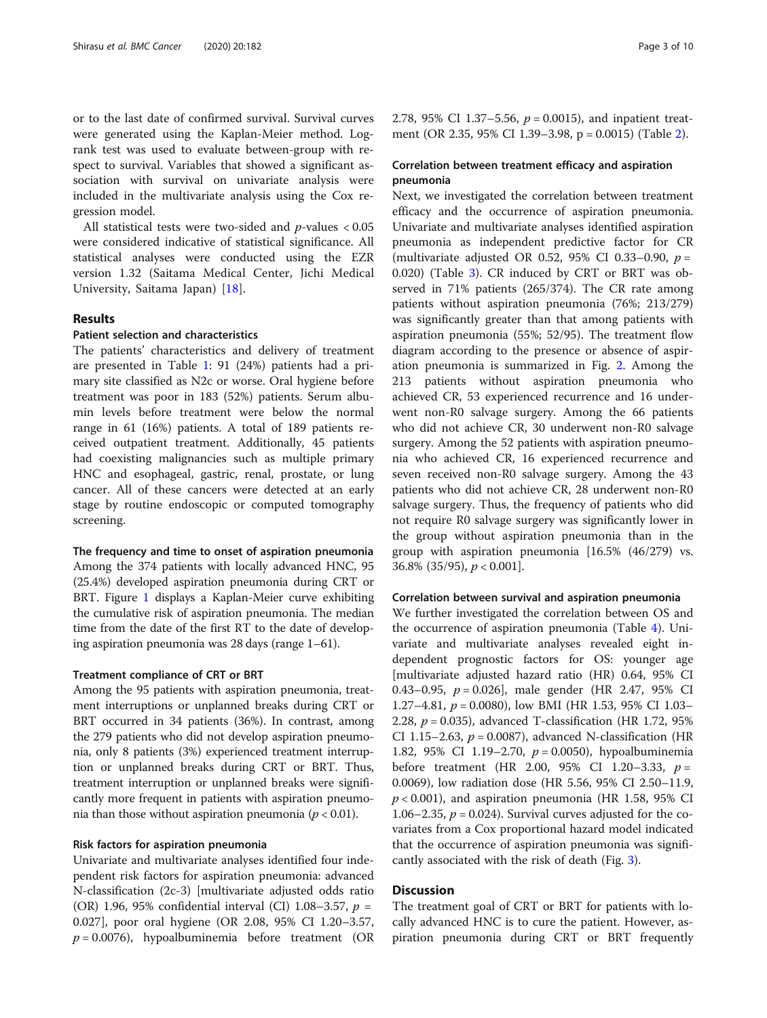or to the last date of confirmed survival. Survival curves were generated using the Kaplan-Meier method. Logrank test was used to evaluate between-group with respect to survival. Variables that showed a significant association with survival on univariate analysis were included in the multivariate analysis using the Cox regression model.

All statistical tests were two-sided and  $p$ -values  $< 0.05$ were considered indicative of statistical significance. All statistical analyses were conducted using the EZR version 1.32 (Saitama Medical Center, Jichi Medical University, Saitama Japan) [\[18](#page-8-0)].

#### Results

#### Patient selection and characteristics

The patients' characteristics and delivery of treatment are presented in Table [1](#page-3-0): 91 (24%) patients had a primary site classified as N2c or worse. Oral hygiene before treatment was poor in 183 (52%) patients. Serum albumin levels before treatment were below the normal range in 61 (16%) patients. A total of 189 patients received outpatient treatment. Additionally, 45 patients had coexisting malignancies such as multiple primary HNC and esophageal, gastric, renal, prostate, or lung cancer. All of these cancers were detected at an early stage by routine endoscopic or computed tomography screening.

The frequency and time to onset of aspiration pneumonia Among the 374 patients with locally advanced HNC, 95 (25.4%) developed aspiration pneumonia during CRT or BRT. Figure [1](#page-4-0) displays a Kaplan-Meier curve exhibiting the cumulative risk of aspiration pneumonia. The median time from the date of the first RT to the date of developing aspiration pneumonia was 28 days (range 1–61).

#### Treatment compliance of CRT or BRT

Among the 95 patients with aspiration pneumonia, treatment interruptions or unplanned breaks during CRT or BRT occurred in 34 patients (36%). In contrast, among the 279 patients who did not develop aspiration pneumonia, only 8 patients (3%) experienced treatment interruption or unplanned breaks during CRT or BRT. Thus, treatment interruption or unplanned breaks were significantly more frequent in patients with aspiration pneumonia than those without aspiration pneumonia ( $p < 0.01$ ).

#### Risk factors for aspiration pneumonia

Univariate and multivariate analyses identified four independent risk factors for aspiration pneumonia: advanced N-classification (2c-3) [multivariate adjusted odds ratio (OR) 1.96, 95% confidential interval (CI) 1.08–3.57,  $p =$ 0.027], poor oral hygiene (OR 2.08, 95% CI 1.20–3.57,  $p = 0.0076$ ), hypoalbuminemia before treatment (OR 2.78, 95% CI 1.37–5.56,  $p = 0.0015$ ), and inpatient treatment (OR 2.35, 95% CI 1.39–3.98, p = 0.0015) (Table [2\)](#page-4-0).

#### Correlation between treatment efficacy and aspiration pneumonia

Next, we investigated the correlation between treatment efficacy and the occurrence of aspiration pneumonia. Univariate and multivariate analyses identified aspiration pneumonia as independent predictive factor for CR (multivariate adjusted OR 0.52, 95% CI 0.33-0.90,  $p =$ 0.020) (Table [3](#page-5-0)). CR induced by CRT or BRT was observed in 71% patients (265/374). The CR rate among patients without aspiration pneumonia (76%; 213/279) was significantly greater than that among patients with aspiration pneumonia (55%; 52/95). The treatment flow diagram according to the presence or absence of aspiration pneumonia is summarized in Fig. [2.](#page-5-0) Among the 213 patients without aspiration pneumonia who achieved CR, 53 experienced recurrence and 16 underwent non-R0 salvage surgery. Among the 66 patients who did not achieve CR, 30 underwent non-R0 salvage surgery. Among the 52 patients with aspiration pneumonia who achieved CR, 16 experienced recurrence and seven received non-R0 salvage surgery. Among the 43 patients who did not achieve CR, 28 underwent non-R0 salvage surgery. Thus, the frequency of patients who did not require R0 salvage surgery was significantly lower in the group without aspiration pneumonia than in the group with aspiration pneumonia [16.5% (46/279) vs. 36.8% (35/95),  $p < 0.001$ .

#### Correlation between survival and aspiration pneumonia

We further investigated the correlation between OS and the occurrence of aspiration pneumonia (Table [4\)](#page-6-0). Univariate and multivariate analyses revealed eight independent prognostic factors for OS: younger age [multivariate adjusted hazard ratio (HR) 0.64, 95% CI 0.43–0.95,  $p = 0.026$ , male gender (HR 2.47, 95% CI 1.27–4.81,  $p = 0.0080$ , low BMI (HR 1.53, 95% CI 1.03– 2.28,  $p = 0.035$ ), advanced T-classification (HR 1.72, 95%) CI 1.15–2.63,  $p = 0.0087$ ), advanced N-classification (HR 1.82, 95% CI 1.19–2.70,  $p = 0.0050$ ), hypoalbuminemia before treatment (HR 2.00, 95% CI 1.20-3.33,  $p =$ 0.0069), low radiation dose (HR 5.56, 95% CI 2.50–11.9,  $p < 0.001$ ), and aspiration pneumonia (HR 1.58, 95% CI 1.06–2.35,  $p = 0.024$ ). Survival curves adjusted for the covariates from a Cox proportional hazard model indicated that the occurrence of aspiration pneumonia was significantly associated with the risk of death (Fig. [3\)](#page-6-0).

#### Discussion

The treatment goal of CRT or BRT for patients with locally advanced HNC is to cure the patient. However, aspiration pneumonia during CRT or BRT frequently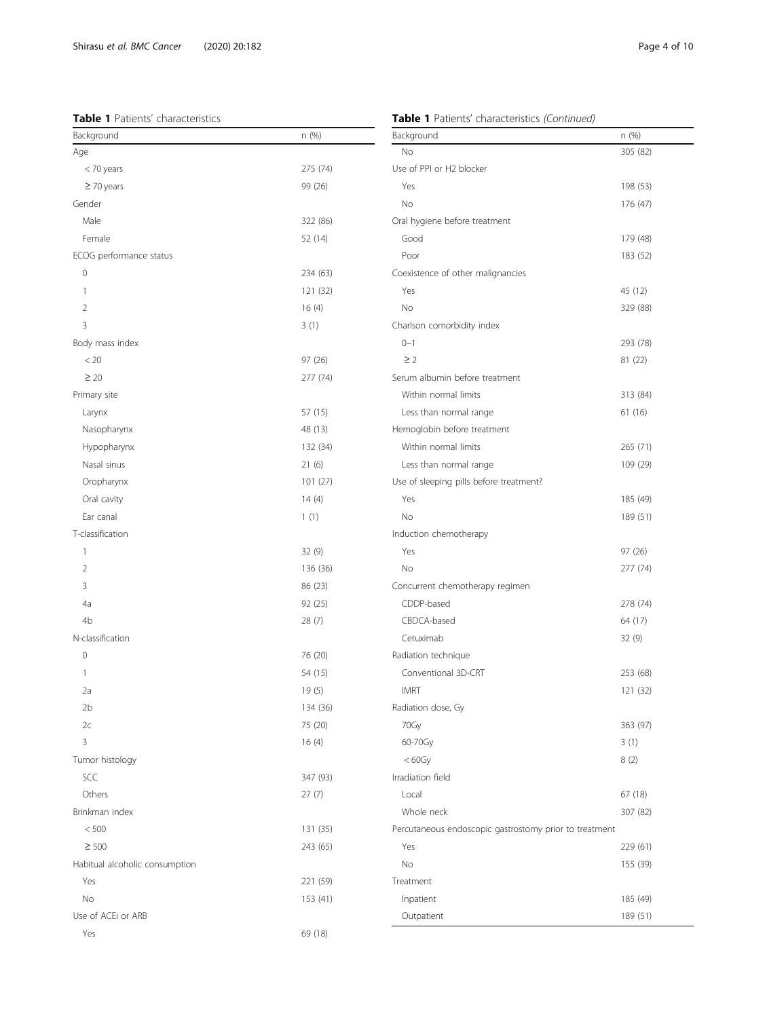#### <span id="page-3-0"></span>Table 1 Patients' characteristics

#### Table 1 Patients' characteristics (Continued)

| Background                     | n(%)<br>Background |                                                        | n (%)    |  |  |
|--------------------------------|--------------------|--------------------------------------------------------|----------|--|--|
| Age                            |                    | No                                                     | 305 (82) |  |  |
| < 70 years                     | 275 (74)           | Use of PPI or H2 blocker                               |          |  |  |
| $\geq$ 70 years                | 99 (26)            | Yes                                                    | 198 (53) |  |  |
| Gender                         |                    | No                                                     | 176 (47) |  |  |
| Male                           | 322 (86)           | Oral hygiene before treatment                          |          |  |  |
| Female                         | 52 (14)            | Good                                                   | 179 (48) |  |  |
| ECOG performance status        |                    | Poor                                                   | 183 (52) |  |  |
| $\mathbf{0}$                   | 234 (63)           | Coexistence of other malignancies                      |          |  |  |
| 1                              | 121 (32)           | Yes                                                    | 45 (12)  |  |  |
| 2                              | 16(4)              | No                                                     | 329 (88) |  |  |
| 3                              | 3(1)               | Charlson comorbidity index                             |          |  |  |
| Body mass index                |                    | $0 - 1$                                                | 293 (78) |  |  |
| < 20                           | 97(26)             | $\geq$ 2                                               | 81 (22)  |  |  |
| $\geq 20$                      | 277 (74)           | Serum albumin before treatment                         |          |  |  |
| Primary site                   |                    | Within normal limits                                   | 313 (84) |  |  |
| Larynx                         | 57(15)             | Less than normal range                                 | 61 (16)  |  |  |
| Nasopharynx                    | 48 (13)            | Hemoglobin before treatment                            |          |  |  |
| Hypopharynx                    | 132 (34)           | Within normal limits                                   | 265 (71) |  |  |
| Nasal sinus                    | 21(6)              | Less than normal range                                 | 109 (29) |  |  |
| Oropharynx                     | 101(27)            | Use of sleeping pills before treatment?                |          |  |  |
| Oral cavity                    | 14(4)              | Yes                                                    | 185 (49) |  |  |
| Ear canal                      | 1(1)               | No                                                     | 189 (51) |  |  |
| T-classification               |                    | Induction chemotherapy                                 |          |  |  |
| 1                              | 32 (9)             | Yes                                                    | 97(26)   |  |  |
| 2                              | 136 (36)           | No                                                     | 277 (74) |  |  |
| 3                              | 86 (23)            | Concurrent chemotherapy regimen                        |          |  |  |
| 4a                             | 92 (25)            | CDDP-based                                             | 278 (74) |  |  |
| 4b                             | 28(7)              | CBDCA-based                                            | 64 (17)  |  |  |
| N-classification               |                    | Cetuximab                                              | 32(9)    |  |  |
| $\mathsf{O}\xspace$            | 76 (20)            | Radiation technique                                    |          |  |  |
| $\mathbf{1}$                   | 54 (15)            | Conventional 3D-CRT                                    | 253 (68) |  |  |
| 2a                             | 19(5)              | <b>IMRT</b>                                            | 121 (32) |  |  |
| 2 <sub>b</sub>                 | 134 (36)           | Radiation dose, Gy                                     |          |  |  |
| 2c                             | 75 (20)            | 70Gy                                                   | 363 (97) |  |  |
| 3                              | 16(4)              | 60-70Gy                                                | 3(1)     |  |  |
| Tumor histology                |                    | $< 60$ Gy                                              | 8(2)     |  |  |
| SCC                            | 347 (93)           | Irradiation field                                      |          |  |  |
| Others                         | 27(7)              | Local                                                  | 67(18)   |  |  |
| Brinkman index                 |                    | Whole neck                                             | 307 (82) |  |  |
| < 500                          | 131 (35)           | Percutaneous endoscopic gastrostomy prior to treatment |          |  |  |
| $\geq 500$                     | 243 (65)           | Yes                                                    | 229 (61) |  |  |
| Habitual alcoholic consumption |                    | No                                                     | 155 (39) |  |  |
| Yes                            | 221 (59)           | Treatment                                              |          |  |  |
| No                             | 153 (41)           | Inpatient                                              | 185 (49) |  |  |
| Use of ACEi or ARB             |                    | Outpatient                                             | 189 (51) |  |  |
| Yes                            | 69 (18)            |                                                        |          |  |  |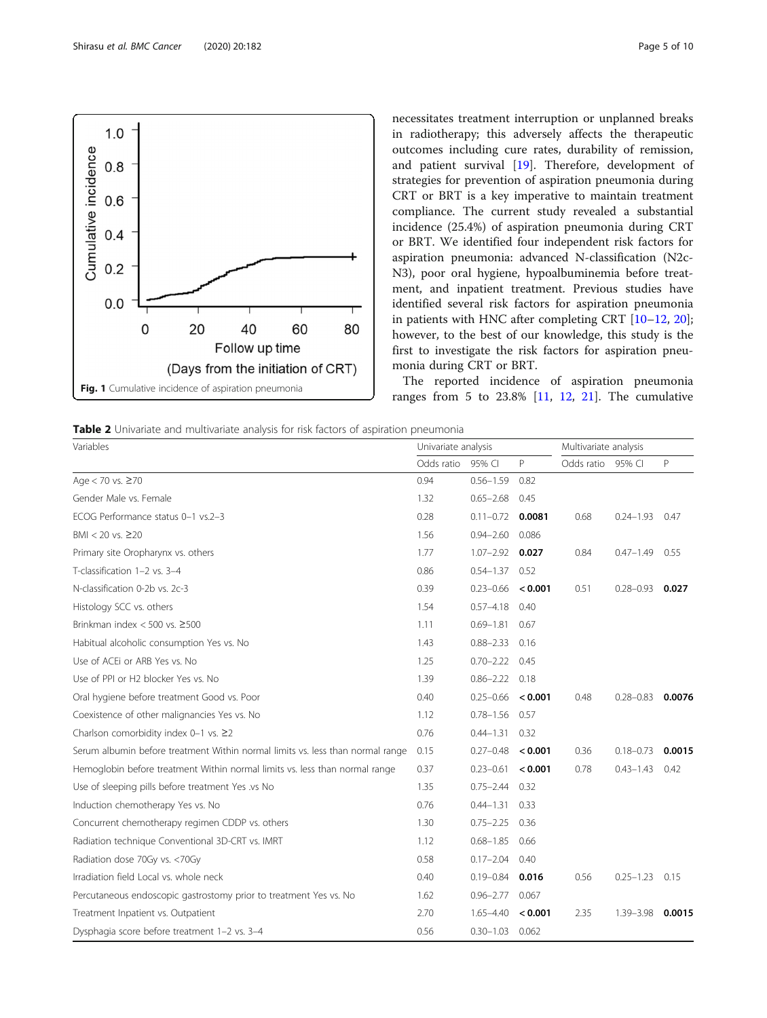<span id="page-4-0"></span>

necessitates treatment interruption or unplanned breaks in radiotherapy; this adversely affects the therapeutic outcomes including cure rates, durability of remission, and patient survival [\[19](#page-9-0)]. Therefore, development of strategies for prevention of aspiration pneumonia during CRT or BRT is a key imperative to maintain treatment compliance. The current study revealed a substantial incidence (25.4%) of aspiration pneumonia during CRT or BRT. We identified four independent risk factors for aspiration pneumonia: advanced N-classification (N2c-N3), poor oral hygiene, hypoalbuminemia before treatment, and inpatient treatment. Previous studies have identified several risk factors for aspiration pneumonia in patients with HNC after completing CRT [[10](#page-8-0)–[12](#page-8-0), [20](#page-9-0)]; however, to the best of our knowledge, this study is the first to investigate the risk factors for aspiration pneumonia during CRT or BRT.

The reported incidence of aspiration pneumonia ranges from 5 to  $23.8\%$  [\[11](#page-8-0), [12](#page-8-0), [21\]](#page-9-0). The cumulative

| <b>Table 2</b> Univariate and multivariate analysis for risk factors of aspiration pneumonia |  |
|----------------------------------------------------------------------------------------------|--|
|----------------------------------------------------------------------------------------------|--|

| Variables                                                                      |            | Univariate analysis          |         |            | Multivariate analysis |        |  |
|--------------------------------------------------------------------------------|------------|------------------------------|---------|------------|-----------------------|--------|--|
|                                                                                | Odds ratio | 95% CI                       | P.      | Odds ratio | 95% CI                | P      |  |
| Age < 70 vs. ≥70                                                               | 0.94       | $0.56 - 1.59$                | 0.82    |            |                       |        |  |
| Gender Male vs. Female                                                         | 1.32       | $0.65 - 2.68$                | 0.45    |            |                       |        |  |
| ECOG Performance status 0-1 vs.2-3                                             | 0.28       | $0.11 - 0.72$                | 0.0081  | 0.68       | $0.24 - 1.93$         | 0.47   |  |
| $BMI < 20$ vs. $\geq 20$                                                       | 1.56       | $0.94 - 2.60$                | 0.086   |            |                       |        |  |
| Primary site Oropharynx vs. others                                             | 1.77       | $1.07 - 2.92$ 0.027          |         | 0.84       | $0.47 - 1.49$         | 0.55   |  |
| T-classification 1-2 vs. 3-4                                                   | 0.86       | $0.54 - 1.37$                | 0.52    |            |                       |        |  |
| N-classification 0-2b vs. 2c-3                                                 | 0.39       | $0.23 - 0.66$ < 0.001        |         | 0.51       | $0.28 - 0.93$         | 0.027  |  |
| Histology SCC vs. others                                                       | 1.54       | $0.57 - 4.18$                | 0.40    |            |                       |        |  |
| Brinkman index $<$ 500 vs. $\geq$ 500                                          | 1.11       | $0.69 - 1.81$                | 0.67    |            |                       |        |  |
| Habitual alcoholic consumption Yes vs. No                                      | 1.43       | $0.88 - 2.33$ 0.16           |         |            |                       |        |  |
| Use of ACEI or ARB Yes vs. No                                                  | 1.25       | $0.70 - 2.22$ 0.45           |         |            |                       |        |  |
| Use of PPI or H2 blocker Yes vs. No                                            | 1.39       | $0.86 - 2.22$ 0.18           |         |            |                       |        |  |
| Oral hygiene before treatment Good vs. Poor                                    | 0.40       | $0.25 - 0.66$ < <b>0.001</b> |         | 0.48       | $0.28 - 0.83$         | 0.0076 |  |
| Coexistence of other malignancies Yes vs. No                                   | 1.12       | $0.78 - 1.56$ 0.57           |         |            |                       |        |  |
| Charlson comorbidity index 0-1 vs. ≥2                                          | 0.76       | $0.44 - 1.31$ 0.32           |         |            |                       |        |  |
| Serum albumin before treatment Within normal limits vs. less than normal range | 0.15       | $0.27 - 0.48$                | < 0.001 | 0.36       | $0.18 - 0.73$         | 0.0015 |  |
| Hemoglobin before treatment Within normal limits vs. less than normal range    | 0.37       | $0.23 - 0.61$ < 0.001        |         | 0.78       | $0.43 - 1.43$         | 0.42   |  |
| Use of sleeping pills before treatment Yes .vs No                              | 1.35       | $0.75 - 2.44$ 0.32           |         |            |                       |        |  |
| Induction chemotherapy Yes vs. No                                              | 0.76       | $0.44 - 1.31$ 0.33           |         |            |                       |        |  |
| Concurrent chemotherapy regimen CDDP vs. others                                | 1.30       | $0.75 - 2.25$ 0.36           |         |            |                       |        |  |
| Radiation technique Conventional 3D-CRT vs. IMRT                               | 1.12       | $0.68 - 1.85$                | 0.66    |            |                       |        |  |
| Radiation dose 70Gy vs. <70Gy                                                  | 0.58       | $0.17 - 2.04$                | 0.40    |            |                       |        |  |
| Irradiation field Local vs. whole neck                                         | 0.40       | $0.19 - 0.84$ 0.016          |         | 0.56       | $0.25 - 1.23$         | 0.15   |  |
| Percutaneous endoscopic gastrostomy prior to treatment Yes vs. No              | 1.62       | $0.96 - 2.77$                | 0.067   |            |                       |        |  |
| Treatment Inpatient vs. Outpatient                                             | 2.70       | $1.65 - 4.40$                | < 0.001 | 2.35       | 1.39-3.98             | 0.0015 |  |
| Dysphagia score before treatment 1-2 vs. 3-4                                   | 0.56       | $0.30 - 1.03$ 0.062          |         |            |                       |        |  |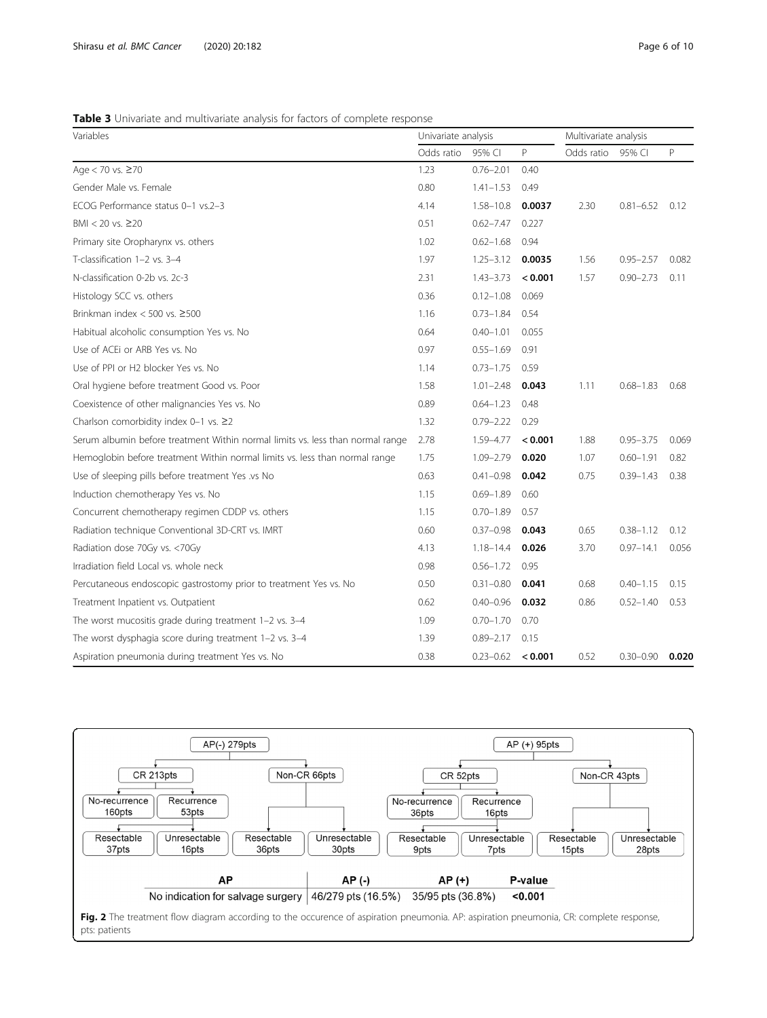<span id="page-5-0"></span>Table 3 Univariate and multivariate analysis for factors of complete response

| Variables                                                                      |            | Univariate analysis |         | Multivariate analysis |               |       |  |
|--------------------------------------------------------------------------------|------------|---------------------|---------|-----------------------|---------------|-------|--|
|                                                                                | Odds ratio | 95% CI              | P       | Odds ratio            | 95% CI        | P     |  |
| Age < 70 vs. ≥70                                                               | 1.23       | $0.76 - 2.01$       | 0.40    |                       |               |       |  |
| Gender Male vs. Female                                                         | 0.80       | $1.41 - 1.53$       | 0.49    |                       |               |       |  |
| ECOG Performance status 0-1 vs.2-3                                             | 4.14       | $1.58 - 10.8$       | 0.0037  | 2.30                  | $0.81 - 6.52$ | 0.12  |  |
| $BMI < 20$ vs. $\geq 20$                                                       | 0.51       | $0.62 - 7.47$       | 0.227   |                       |               |       |  |
| Primary site Oropharynx vs. others                                             | 1.02       | $0.62 - 1.68$       | 0.94    |                       |               |       |  |
| T-classification 1-2 vs. 3-4                                                   | 1.97       | $1.25 - 3.12$       | 0.0035  | 1.56                  | $0.95 - 2.57$ | 0.082 |  |
| N-classification 0-2b vs. 2c-3                                                 | 2.31       | $1.43 - 3.73$       | < 0.001 | 1.57                  | $0.90 - 2.73$ | 0.11  |  |
| Histology SCC vs. others                                                       | 0.36       | $0.12 - 1.08$       | 0.069   |                       |               |       |  |
| Brinkman index $<$ 500 vs. $\geq$ 500                                          | 1.16       | $0.73 - 1.84$       | 0.54    |                       |               |       |  |
| Habitual alcoholic consumption Yes vs. No                                      | 0.64       | $0.40 - 1.01$       | 0.055   |                       |               |       |  |
| Use of ACEI or ARB Yes vs. No                                                  | 0.97       | $0.55 - 1.69$       | 0.91    |                       |               |       |  |
| Use of PPI or H2 blocker Yes vs. No                                            | 1.14       | $0.73 - 1.75$       | 0.59    |                       |               |       |  |
| Oral hygiene before treatment Good vs. Poor                                    | 1.58       | $1.01 - 2.48$       | 0.043   | 1.11                  | $0.68 - 1.83$ | 0.68  |  |
| Coexistence of other malignancies Yes vs. No                                   | 0.89       | $0.64 - 1.23$       | 0.48    |                       |               |       |  |
| Charlson comorbidity index 0-1 vs. $\geq$ 2                                    | 1.32       | $0.79 - 2.22$       | 0.29    |                       |               |       |  |
| Serum albumin before treatment Within normal limits vs. less than normal range | 2.78       | 1.59-4.77           | < 0.001 | 1.88                  | $0.95 - 3.75$ | 0.069 |  |
| Hemoglobin before treatment Within normal limits vs. less than normal range    | 1.75       | 1.09-2.79           | 0.020   | 1.07                  | $0.60 - 1.91$ | 0.82  |  |
| Use of sleeping pills before treatment Yes .vs No                              | 0.63       | $0.41 - 0.98$       | 0.042   | 0.75                  | $0.39 - 1.43$ | 0.38  |  |
| Induction chemotherapy Yes vs. No                                              | 1.15       | $0.69 - 1.89$       | 0.60    |                       |               |       |  |
| Concurrent chemotherapy regimen CDDP vs. others                                | 1.15       | $0.70 - 1.89$       | 0.57    |                       |               |       |  |
| Radiation technique Conventional 3D-CRT vs. IMRT                               | 0.60       | $0.37 - 0.98$       | 0.043   | 0.65                  | $0.38 - 1.12$ | 0.12  |  |
| Radiation dose 70Gy vs. <70Gy                                                  | 4.13       | $1.18 - 14.4$       | 0.026   | 3.70                  | $0.97 - 14.1$ | 0.056 |  |
| Irradiation field Local vs. whole neck                                         | 0.98       | $0.56 - 1.72$       | 0.95    |                       |               |       |  |
| Percutaneous endoscopic gastrostomy prior to treatment Yes vs. No              | 0.50       | $0.31 - 0.80$       | 0.041   | 0.68                  | $0.40 - 1.15$ | 0.15  |  |
| Treatment Inpatient vs. Outpatient                                             | 0.62       | $0.40 - 0.96$       | 0.032   | 0.86                  | $0.52 - 1.40$ | 0.53  |  |
| The worst mucositis grade during treatment 1-2 vs. 3-4                         | 1.09       | $0.70 - 1.70$       | 0.70    |                       |               |       |  |
| The worst dysphagia score during treatment 1-2 vs. 3-4                         | 1.39       | $0.89 - 2.17$       | 0.15    |                       |               |       |  |
| Aspiration pneumonia during treatment Yes vs. No                               | 0.38       | $0.23 - 0.62$       | < 0.001 | 0.52                  | $0.30 - 0.90$ | 0.020 |  |



pts: patients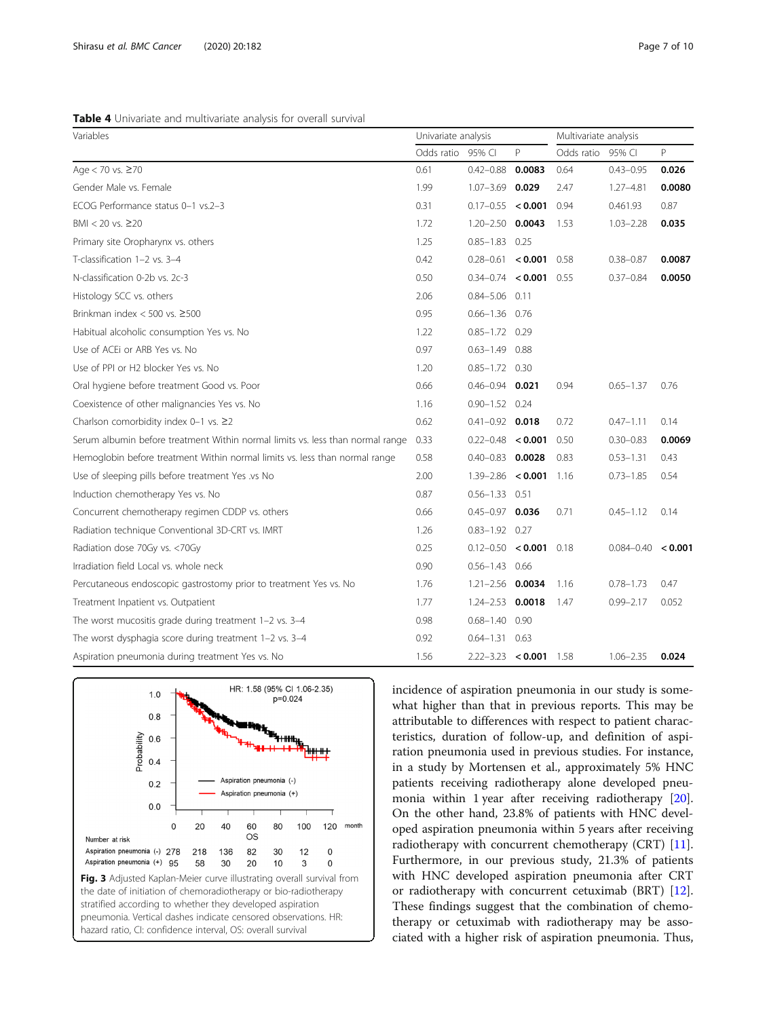<span id="page-6-0"></span>

| Variables                                                                      | Univariate analysis |                            |        | Multivariate analysis |                        |        |  |
|--------------------------------------------------------------------------------|---------------------|----------------------------|--------|-----------------------|------------------------|--------|--|
|                                                                                | Odds ratio 95% CI   |                            | P      | Odds ratio            | 95% CI                 | P      |  |
| Age < 70 vs. ≥70                                                               | 0.61                | $0.42 - 0.88$              | 0.0083 | 0.64                  | $0.43 - 0.95$          | 0.026  |  |
| Gender Male vs. Female                                                         | 1.99                | $1.07 - 3.69$ 0.029        |        | 2.47                  | $1.27 - 4.81$          | 0.0080 |  |
| ECOG Performance status 0-1 vs.2-3                                             | 0.31                | $0.17 - 0.55 < 0.001$      |        | 0.94                  | 0.461.93               | 0.87   |  |
| $BMI < 20$ vs. $\geq 20$                                                       | 1.72                | $1.20 - 2.50$ 0.0043       |        | 1.53                  | $1.03 - 2.28$          | 0.035  |  |
| Primary site Oropharynx vs. others                                             | 1.25                | $0.85 - 1.83$ 0.25         |        |                       |                        |        |  |
| T-classification 1-2 vs. 3-4                                                   | 0.42                | $0.28 - 0.61$ < 0.001 0.58 |        |                       | $0.38 - 0.87$          | 0.0087 |  |
| N-classification 0-2b vs. 2c-3                                                 | 0.50                | $0.34 - 0.74$ < 0.001 0.55 |        |                       | $0.37 - 0.84$          | 0.0050 |  |
| Histology SCC vs. others                                                       | 2.06                | $0.84 - 5.06$ 0.11         |        |                       |                        |        |  |
| Brinkman index $<$ 500 vs. $\geq$ 500                                          | 0.95                | $0.66 - 1.36$ 0.76         |        |                       |                        |        |  |
| Habitual alcoholic consumption Yes vs. No                                      | 1.22                | $0.85 - 1.72$ 0.29         |        |                       |                        |        |  |
| Use of ACEi or ARB Yes vs. No                                                  | 0.97                | $0.63 - 1.49$ 0.88         |        |                       |                        |        |  |
| Use of PPI or H2 blocker Yes vs. No                                            | 1.20                | $0.85 - 1.72$ 0.30         |        |                       |                        |        |  |
| Oral hygiene before treatment Good vs. Poor                                    | 0.66                | $0.46 - 0.94$ 0.021        |        | 0.94                  | $0.65 - 1.37$          | 0.76   |  |
| Coexistence of other malignancies Yes vs. No                                   | 1.16                | $0.90 - 1.52$ 0.24         |        |                       |                        |        |  |
| Charlson comorbidity index 0-1 vs. ≥2                                          | 0.62                | $0.41 - 0.92$ 0.018        |        | 0.72                  | $0.47 - 1.11$          | 0.14   |  |
| Serum albumin before treatment Within normal limits vs. less than normal range | 0.33                | $0.22 - 0.48 < 0.001$      |        | 0.50                  | $0.30 - 0.83$          | 0.0069 |  |
| Hemoglobin before treatment Within normal limits vs. less than normal range    | 0.58                | $0.40 - 0.83$ 0.0028       |        | 0.83                  | $0.53 - 1.31$          | 0.43   |  |
| Use of sleeping pills before treatment Yes .vs No                              | 2.00                | $1.39 - 2.86 < 0.001$      |        | 1.16                  | $0.73 - 1.85$          | 0.54   |  |
| Induction chemotherapy Yes vs. No                                              | 0.87                | $0.56 - 1.33$ $0.51$       |        |                       |                        |        |  |
| Concurrent chemotherapy regimen CDDP vs. others                                | 0.66                | $0.45 - 0.97$ 0.036        |        | 0.71                  | $0.45 - 1.12$          | 0.14   |  |
| Radiation technique Conventional 3D-CRT vs. IMRT                               | 1.26                | $0.83 - 1.92$ 0.27         |        |                       |                        |        |  |
| Radiation dose 70Gy vs. <70Gy                                                  | 0.25                | $0.12 - 0.50 < 0.001$      |        | 0.18                  | $0.084 - 0.40 < 0.001$ |        |  |
| Irradiation field Local vs. whole neck                                         | 0.90                | $0.56 - 1.43$ 0.66         |        |                       |                        |        |  |
| Percutaneous endoscopic gastrostomy prior to treatment Yes vs. No              | 1.76                | $1.21 - 2.56$ 0.0034       |        | 1.16                  | $0.78 - 1.73$          | 0.47   |  |
| Treatment Inpatient vs. Outpatient                                             | 1.77                | $1.24 - 2.53$ 0.0018       |        | 1.47                  | $0.99 - 2.17$          | 0.052  |  |
| The worst mucositis grade during treatment 1-2 vs. 3-4                         | 0.98                | $0.68 - 1.40$ 0.90         |        |                       |                        |        |  |
| The worst dysphagia score during treatment 1-2 vs. 3-4                         | 0.92                | $0.64 - 1.31$ 0.63         |        |                       |                        |        |  |
| Aspiration pneumonia during treatment Yes vs. No                               | 1.56                | $2.22 - 3.23$ < 0.001 1.58 |        |                       | $1.06 - 2.35$          | 0.024  |  |



incidence of aspiration pneumonia in our study is somewhat higher than that in previous reports. This may be attributable to differences with respect to patient characteristics, duration of follow-up, and definition of aspiration pneumonia used in previous studies. For instance, in a study by Mortensen et al., approximately 5% HNC patients receiving radiotherapy alone developed pneumonia within 1 year after receiving radiotherapy [\[20](#page-9-0)]. On the other hand, 23.8% of patients with HNC developed aspiration pneumonia within 5 years after receiving radiotherapy with concurrent chemotherapy (CRT) [\[11](#page-8-0)]. Furthermore, in our previous study, 21.3% of patients with HNC developed aspiration pneumonia after CRT or radiotherapy with concurrent cetuximab (BRT) [\[12](#page-8-0)]. These findings suggest that the combination of chemotherapy or cetuximab with radiotherapy may be associated with a higher risk of aspiration pneumonia. Thus,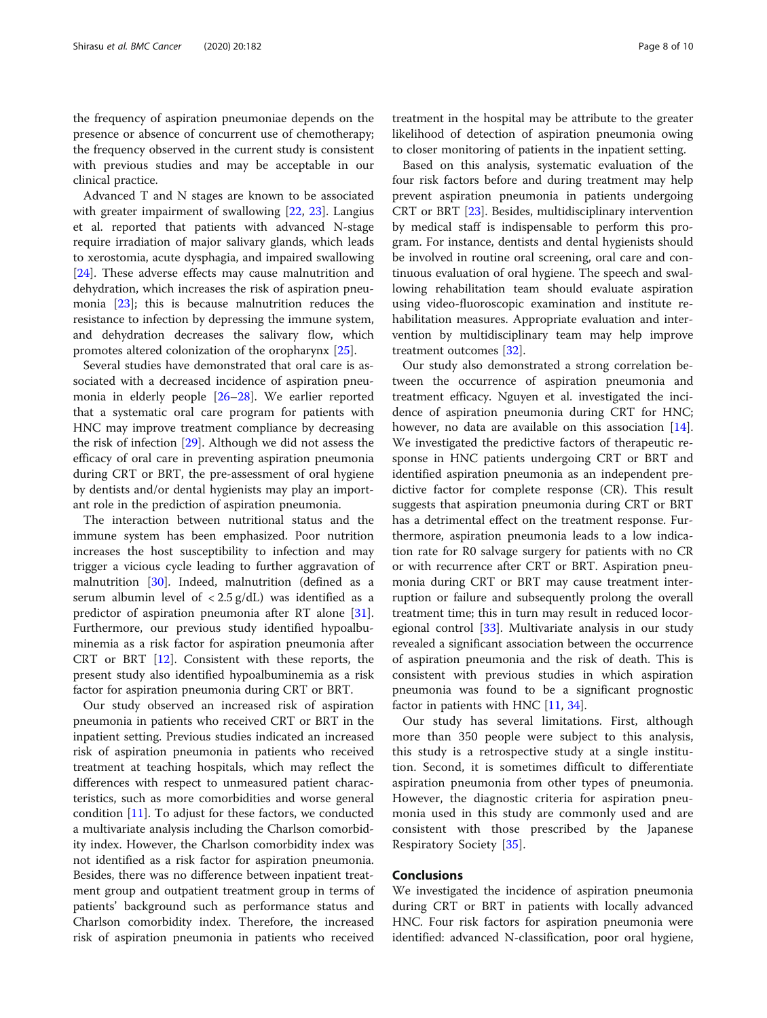the frequency of aspiration pneumoniae depends on the presence or absence of concurrent use of chemotherapy; the frequency observed in the current study is consistent with previous studies and may be acceptable in our clinical practice.

Advanced T and N stages are known to be associated with greater impairment of swallowing [[22](#page-9-0), [23\]](#page-9-0). Langius et al. reported that patients with advanced N-stage require irradiation of major salivary glands, which leads to xerostomia, acute dysphagia, and impaired swallowing [[24\]](#page-9-0). These adverse effects may cause malnutrition and dehydration, which increases the risk of aspiration pneumonia [\[23](#page-9-0)]; this is because malnutrition reduces the resistance to infection by depressing the immune system, and dehydration decreases the salivary flow, which promotes altered colonization of the oropharynx [\[25\]](#page-9-0).

Several studies have demonstrated that oral care is associated with a decreased incidence of aspiration pneumonia in elderly people [[26](#page-9-0)–[28](#page-9-0)]. We earlier reported that a systematic oral care program for patients with HNC may improve treatment compliance by decreasing the risk of infection [[29\]](#page-9-0). Although we did not assess the efficacy of oral care in preventing aspiration pneumonia during CRT or BRT, the pre-assessment of oral hygiene by dentists and/or dental hygienists may play an important role in the prediction of aspiration pneumonia.

The interaction between nutritional status and the immune system has been emphasized. Poor nutrition increases the host susceptibility to infection and may trigger a vicious cycle leading to further aggravation of malnutrition [[30](#page-9-0)]. Indeed, malnutrition (defined as a serum albumin level of  $\langle 2.5 \text{ g/dL} \rangle$  was identified as a predictor of aspiration pneumonia after RT alone [\[31](#page-9-0)]. Furthermore, our previous study identified hypoalbuminemia as a risk factor for aspiration pneumonia after CRT or BRT [\[12](#page-8-0)]. Consistent with these reports, the present study also identified hypoalbuminemia as a risk factor for aspiration pneumonia during CRT or BRT.

Our study observed an increased risk of aspiration pneumonia in patients who received CRT or BRT in the inpatient setting. Previous studies indicated an increased risk of aspiration pneumonia in patients who received treatment at teaching hospitals, which may reflect the differences with respect to unmeasured patient characteristics, such as more comorbidities and worse general condition [[11\]](#page-8-0). To adjust for these factors, we conducted a multivariate analysis including the Charlson comorbidity index. However, the Charlson comorbidity index was not identified as a risk factor for aspiration pneumonia. Besides, there was no difference between inpatient treatment group and outpatient treatment group in terms of patients' background such as performance status and Charlson comorbidity index. Therefore, the increased risk of aspiration pneumonia in patients who received

treatment in the hospital may be attribute to the greater likelihood of detection of aspiration pneumonia owing to closer monitoring of patients in the inpatient setting.

Based on this analysis, systematic evaluation of the four risk factors before and during treatment may help prevent aspiration pneumonia in patients undergoing CRT or BRT [[23](#page-9-0)]. Besides, multidisciplinary intervention by medical staff is indispensable to perform this program. For instance, dentists and dental hygienists should be involved in routine oral screening, oral care and continuous evaluation of oral hygiene. The speech and swallowing rehabilitation team should evaluate aspiration using video-fluoroscopic examination and institute rehabilitation measures. Appropriate evaluation and intervention by multidisciplinary team may help improve treatment outcomes [\[32](#page-9-0)].

Our study also demonstrated a strong correlation between the occurrence of aspiration pneumonia and treatment efficacy. Nguyen et al. investigated the incidence of aspiration pneumonia during CRT for HNC; however, no data are available on this association [\[14](#page-8-0)]. We investigated the predictive factors of therapeutic response in HNC patients undergoing CRT or BRT and identified aspiration pneumonia as an independent predictive factor for complete response (CR). This result suggests that aspiration pneumonia during CRT or BRT has a detrimental effect on the treatment response. Furthermore, aspiration pneumonia leads to a low indication rate for R0 salvage surgery for patients with no CR or with recurrence after CRT or BRT. Aspiration pneumonia during CRT or BRT may cause treatment interruption or failure and subsequently prolong the overall treatment time; this in turn may result in reduced locoregional control [[33](#page-9-0)]. Multivariate analysis in our study revealed a significant association between the occurrence of aspiration pneumonia and the risk of death. This is consistent with previous studies in which aspiration pneumonia was found to be a significant prognostic factor in patients with HNC [[11,](#page-8-0) [34\]](#page-9-0).

Our study has several limitations. First, although more than 350 people were subject to this analysis, this study is a retrospective study at a single institution. Second, it is sometimes difficult to differentiate aspiration pneumonia from other types of pneumonia. However, the diagnostic criteria for aspiration pneumonia used in this study are commonly used and are consistent with those prescribed by the Japanese Respiratory Society [[35\]](#page-9-0).

#### **Conclusions**

We investigated the incidence of aspiration pneumonia during CRT or BRT in patients with locally advanced HNC. Four risk factors for aspiration pneumonia were identified: advanced N-classification, poor oral hygiene,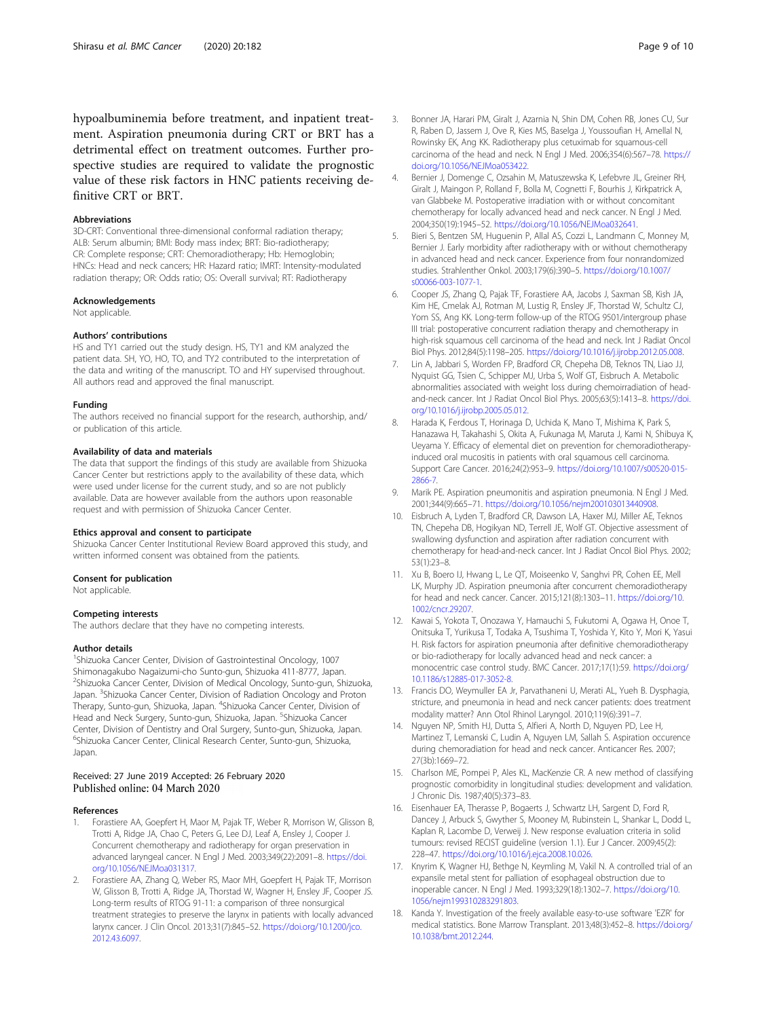<span id="page-8-0"></span>hypoalbuminemia before treatment, and inpatient treatment. Aspiration pneumonia during CRT or BRT has a detrimental effect on treatment outcomes. Further prospective studies are required to validate the prognostic value of these risk factors in HNC patients receiving definitive CRT or BRT.

#### Abbreviations

3D-CRT: Conventional three-dimensional conformal radiation therapy; ALB: Serum albumin; BMI: Body mass index; BRT: Bio-radiotherapy; CR: Complete response; CRT: Chemoradiotherapy; Hb: Hemoglobin; HNCs: Head and neck cancers; HR: Hazard ratio; IMRT: Intensity-modulated radiation therapy; OR: Odds ratio; OS: Overall survival; RT: Radiotherapy

#### Acknowledgements

Not applicable.

#### Authors' contributions

HS and TY1 carried out the study design. HS, TY1 and KM analyzed the patient data. SH, YO, HO, TO, and TY2 contributed to the interpretation of the data and writing of the manuscript. TO and HY supervised throughout. All authors read and approved the final manuscript.

#### Funding

The authors received no financial support for the research, authorship, and/ or publication of this article.

#### Availability of data and materials

The data that support the findings of this study are available from Shizuoka Cancer Center but restrictions apply to the availability of these data, which were used under license for the current study, and so are not publicly available. Data are however available from the authors upon reasonable request and with permission of Shizuoka Cancer Center.

#### Ethics approval and consent to participate

Shizuoka Cancer Center Institutional Review Board approved this study, and written informed consent was obtained from the patients.

#### Consent for publication

Not applicable.

#### Competing interests

The authors declare that they have no competing interests.

#### Author details

<sup>1</sup>Shizuoka Cancer Center, Division of Gastrointestinal Oncology, 1007 Shimonagakubo Nagaizumi-cho Sunto-gun, Shizuoka 411-8777, Japan. 2 Shizuoka Cancer Center, Division of Medical Oncology, Sunto-gun, Shizuoka, Japan. <sup>3</sup>Shizuoka Cancer Center, Division of Radiation Oncology and Proton Therapy, Sunto-gun, Shizuoka, Japan. <sup>4</sup>Shizuoka Cancer Center, Division of Head and Neck Surgery, Sunto-gun, Shizuoka, Japan. <sup>5</sup>Shizuoka Cancer Center, Division of Dentistry and Oral Surgery, Sunto-gun, Shizuoka, Japan. 6 Shizuoka Cancer Center, Clinical Research Center, Sunto-gun, Shizuoka, Japan.

#### Received: 27 June 2019 Accepted: 26 February 2020 Published online: 04 March 2020

#### References

- 1. Forastiere AA, Goepfert H, Maor M, Pajak TF, Weber R, Morrison W, Glisson B, Trotti A, Ridge JA, Chao C, Peters G, Lee DJ, Leaf A, Ensley J, Cooper J. Concurrent chemotherapy and radiotherapy for organ preservation in advanced laryngeal cancer. N Engl J Med. 2003;349(22):2091–8. [https://doi.](https://doi.org/10.1056/NEJMoa031317) [org/10.1056/NEJMoa031317](https://doi.org/10.1056/NEJMoa031317).
- 2. Forastiere AA, Zhang Q, Weber RS, Maor MH, Goepfert H, Pajak TF, Morrison W, Glisson B, Trotti A, Ridge JA, Thorstad W, Wagner H, Ensley JF, Cooper JS. Long-term results of RTOG 91-11: a comparison of three nonsurgical treatment strategies to preserve the larynx in patients with locally advanced larynx cancer. J Clin Oncol. 2013;31(7):845–52. [https://doi.org/10.1200/jco.](https://doi.org/10.1200/jco.2012.43.6097) [2012.43.6097](https://doi.org/10.1200/jco.2012.43.6097).
- 3. Bonner JA, Harari PM, Giralt J, Azarnia N, Shin DM, Cohen RB, Jones CU, Sur R, Raben D, Jassem J, Ove R, Kies MS, Baselga J, Youssoufian H, Amellal N, Rowinsky EK, Ang KK. Radiotherapy plus cetuximab for squamous-cell carcinoma of the head and neck. N Engl J Med. 2006;354(6):567–78. [https://](https://doi.org/10.1056/NEJMoa053422) [doi.org/10.1056/NEJMoa053422](https://doi.org/10.1056/NEJMoa053422).
- 4. Bernier J, Domenge C, Ozsahin M, Matuszewska K, Lefebvre JL, Greiner RH, Giralt J, Maingon P, Rolland F, Bolla M, Cognetti F, Bourhis J, Kirkpatrick A, van Glabbeke M. Postoperative irradiation with or without concomitant chemotherapy for locally advanced head and neck cancer. N Engl J Med. 2004;350(19):1945–52. <https://doi.org/10.1056/NEJMoa032641>.
- 5. Bieri S, Bentzen SM, Huguenin P, Allal AS, Cozzi L, Landmann C, Monney M, Bernier J. Early morbidity after radiotherapy with or without chemotherapy in advanced head and neck cancer. Experience from four nonrandomized studies. Strahlenther Onkol. 2003;179(6):390–5. [https://doi.org/10.1007/](https://doi.org/10.1007/s00066-003-1077-1) [s00066-003-1077-1.](https://doi.org/10.1007/s00066-003-1077-1)
- 6. Cooper JS, Zhang Q, Pajak TF, Forastiere AA, Jacobs J, Saxman SB, Kish JA, Kim HE, Cmelak AJ, Rotman M, Lustig R, Ensley JF, Thorstad W, Schultz CJ, Yom SS, Ang KK. Long-term follow-up of the RTOG 9501/intergroup phase III trial: postoperative concurrent radiation therapy and chemotherapy in high-risk squamous cell carcinoma of the head and neck. Int J Radiat Oncol Biol Phys. 2012;84(5):1198–205. <https://doi.org/10.1016/j.ijrobp.2012.05.008>.
- 7. Lin A, Jabbari S, Worden FP, Bradford CR, Chepeha DB, Teknos TN, Liao JJ, Nyquist GG, Tsien C, Schipper MJ, Urba S, Wolf GT, Eisbruch A. Metabolic abnormalities associated with weight loss during chemoirradiation of headand-neck cancer. Int J Radiat Oncol Biol Phys. 2005;63(5):1413–8. [https://doi.](https://doi.org/10.1016/j.ijrobp.2005.05.012) [org/10.1016/j.ijrobp.2005.05.012](https://doi.org/10.1016/j.ijrobp.2005.05.012).
- 8. Harada K, Ferdous T, Horinaga D, Uchida K, Mano T, Mishima K, Park S, Hanazawa H, Takahashi S, Okita A, Fukunaga M, Maruta J, Kami N, Shibuya K, Ueyama Y. Efficacy of elemental diet on prevention for chemoradiotherapyinduced oral mucositis in patients with oral squamous cell carcinoma. Support Care Cancer. 2016;24(2):953–9. [https://doi.org/10.1007/s00520-015-](https://doi.org/10.1007/s00520-015-2866-7) [2866-7.](https://doi.org/10.1007/s00520-015-2866-7)
- 9. Marik PE. Aspiration pneumonitis and aspiration pneumonia. N Engl J Med. 2001;344(9):665–71. [https://doi.org/10.1056/nejm200103013440908.](https://doi.org/10.1056/nejm200103013440908)
- 10. Eisbruch A, Lyden T, Bradford CR, Dawson LA, Haxer MJ, Miller AE, Teknos TN, Chepeha DB, Hogikyan ND, Terrell JE, Wolf GT. Objective assessment of swallowing dysfunction and aspiration after radiation concurrent with chemotherapy for head-and-neck cancer. Int J Radiat Oncol Biol Phys. 2002; 53(1):23–8.
- 11. Xu B, Boero IJ, Hwang L, Le QT, Moiseenko V, Sanghvi PR, Cohen EE, Mell LK, Murphy JD. Aspiration pneumonia after concurrent chemoradiotherapy for head and neck cancer. Cancer. 2015;121(8):1303–11. [https://doi.org/10.](https://doi.org/10.1002/cncr.29207) [1002/cncr.29207](https://doi.org/10.1002/cncr.29207).
- 12. Kawai S, Yokota T, Onozawa Y, Hamauchi S, Fukutomi A, Ogawa H, Onoe T, Onitsuka T, Yurikusa T, Todaka A, Tsushima T, Yoshida Y, Kito Y, Mori K, Yasui H. Risk factors for aspiration pneumonia after definitive chemoradiotherapy or bio-radiotherapy for locally advanced head and neck cancer: a monocentric case control study. BMC Cancer. 2017;17(1):59. [https://doi.org/](https://doi.org/10.1186/s12885-017-3052-8) [10.1186/s12885-017-3052-8](https://doi.org/10.1186/s12885-017-3052-8).
- 13. Francis DO, Weymuller EA Jr, Parvathaneni U, Merati AL, Yueh B. Dysphagia, stricture, and pneumonia in head and neck cancer patients: does treatment modality matter? Ann Otol Rhinol Laryngol. 2010;119(6):391–7.
- 14. Nguyen NP, Smith HJ, Dutta S, Alfieri A, North D, Nguyen PD, Lee H, Martinez T, Lemanski C, Ludin A, Nguyen LM, Sallah S. Aspiration occurence during chemoradiation for head and neck cancer. Anticancer Res. 2007; 27(3b):1669–72.
- 15. Charlson ME, Pompei P, Ales KL, MacKenzie CR. A new method of classifying prognostic comorbidity in longitudinal studies: development and validation. J Chronic Dis. 1987;40(5):373–83.
- 16. Eisenhauer EA, Therasse P, Bogaerts J, Schwartz LH, Sargent D, Ford R, Dancey J, Arbuck S, Gwyther S, Mooney M, Rubinstein L, Shankar L, Dodd L, Kaplan R, Lacombe D, Verweij J. New response evaluation criteria in solid tumours: revised RECIST guideline (version 1.1). Eur J Cancer. 2009;45(2): 228–47. <https://doi.org/10.1016/j.ejca.2008.10.026>.
- 17. Knyrim K, Wagner HJ, Bethge N, Keymling M, Vakil N. A controlled trial of an expansile metal stent for palliation of esophageal obstruction due to inoperable cancer. N Engl J Med. 1993;329(18):1302–7. [https://doi.org/10.](https://doi.org/10.1056/nejm199310283291803) [1056/nejm199310283291803](https://doi.org/10.1056/nejm199310283291803).
- 18. Kanda Y. Investigation of the freely available easy-to-use software 'EZR' for medical statistics. Bone Marrow Transplant. 2013;48(3):452–8. [https://doi.org/](https://doi.org/10.1038/bmt.2012.244) [10.1038/bmt.2012.244.](https://doi.org/10.1038/bmt.2012.244)